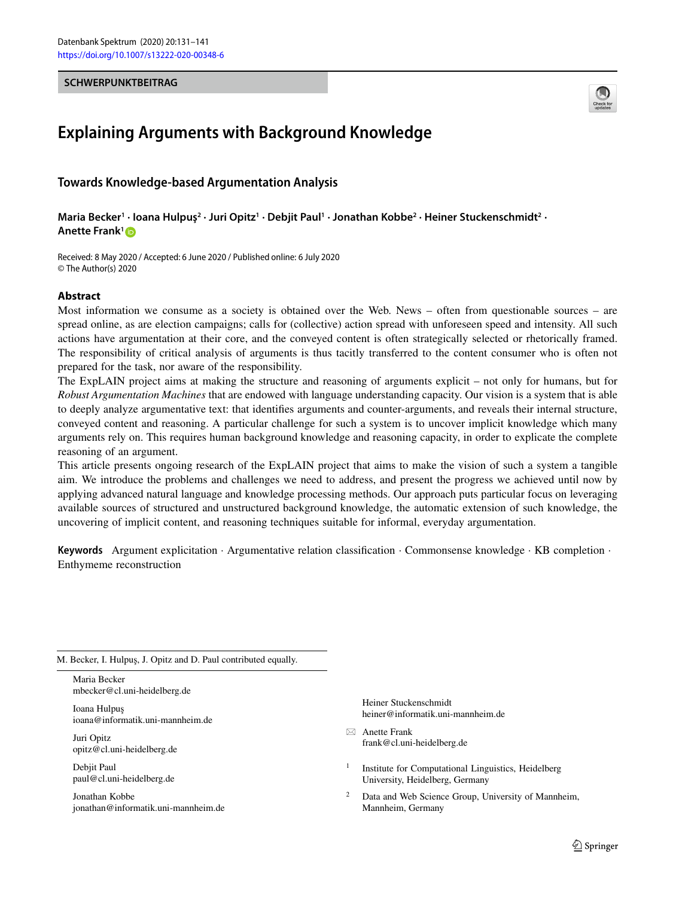#### <span id="page-0-0"></span>**SCHWERPUNKTBEITRAG**



# **Explaining Arguments with Background Knowledge**

# **Towards Knowledge-based Argumentation Analysis**

**Maria Becker1 · Ioana Hulpuş2 · Juri Opitz1 · Debjit Paul1 · Jonathan Kobbe2 · Heiner Stuckenschmidt2 · Anette Frank1**

Received: 8 May 2020 / Accepted: 6 June 2020 / Published online: 6 July 2020 © The Author(s) 2020

## **Abstract**

Most information we consume as a society is obtained over the Web. News – often from questionable sources – are spread online, as are election campaigns; calls for (collective) action spread with unforeseen speed and intensity. All such actions have argumentation at their core, and the conveyed content is often strategically selected or rhetorically framed. The responsibility of critical analysis of arguments is thus tacitly transferred to the content consumer who is often not prepared for the task, nor aware of the responsibility.

The ExpLAIN project aims at making the structure and reasoning of arguments explicit – not only for humans, but for *Robust Argumentation Machines* that are endowed with language understanding capacity. Our vision is a system that is able to deeply analyze argumentative text: that identifies arguments and counter-arguments, and reveals their internal structure, conveyed content and reasoning. A particular challenge for such a system is to uncover implicit knowledge which many arguments rely on. This requires human background knowledge and reasoning capacity, in order to explicate the complete reasoning of an argument.

This article presents ongoing research of the ExpLAIN project that aims to make the vision of such a system a tangible aim. We introduce the problems and challenges we need to address, and present the progress we achieved until now by applying advanced natural language and knowledge processing methods. Our approach puts particular focus on leveraging available sources of structured and unstructured background knowledge, the automatic extension of such knowledge, the uncovering of implicit content, and reasoning techniques suitable for informal, everyday argumentation.

**Keywords** Argument explicitation · Argumentative relation classification · Commonsense knowledge · KB completion · Enthymeme reconstruction

M. Becker, I. Hulpuş, J. Opitz and D. Paul contributed equally.

Maria Becker mbecker@cl.uni-heidelberg.de

Ioana Hulpus ioana@informatik.uni-mannheim.de

Juri Opitz opitz@cl.uni-heidelberg.de

Debjit Paul paul@cl.uni-heidelberg.de

Jonathan Kobbe jonathan@informatik.uni-mannheim.de Heiner Stuckenschmidt heiner@informatik.uni-mannheim.de

- Anette Frank frank@cl.uni-heidelberg.de

<sup>1</sup> Institute for Computational Linguistics, Heidelberg University, Heidelberg, Germany

Data and Web Science Group, University of Mannheim, Mannheim, Germany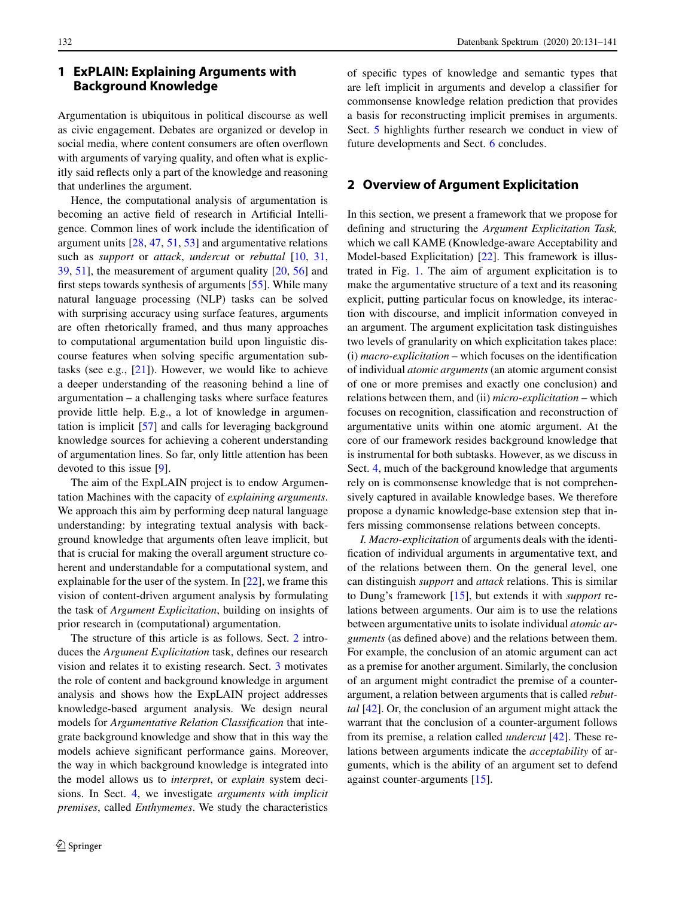## **1 ExPLAIN: Explaining Arguments with Background Knowledge**

Argumentation is ubiquitous in political discourse as well as civic engagement. Debates are organized or develop in social media, where content consumers are often overflown with arguments of varying quality, and often what is explicitly said reflects only a part of the knowledge and reasoning that underlines the argument.

Hence, the computational analysis of argumentation is becoming an active field of research in Artificial Intelligence. Common lines of work include the identification of argument units [\[28,](#page-10-0) [47,](#page-10-1) [51,](#page-10-2) [53\]](#page-10-3) and argumentative relations such as *support* or *attack*, *undercut* or *rebuttal* [\[10,](#page-9-0) [31,](#page-10-4) [39,](#page-10-5) [51\]](#page-10-2), the measurement of argument quality [\[20,](#page-10-6) [56\]](#page-10-7) and first steps towards synthesis of arguments [\[55\]](#page-10-8). While many natural language processing (NLP) tasks can be solved with surprising accuracy using surface features, arguments are often rhetorically framed, and thus many approaches to computational argumentation build upon linguistic discourse features when solving specific argumentation subtasks (see e.g.,  $[21]$ ). However, we would like to achieve a deeper understanding of the reasoning behind a line of argumentation – a challenging tasks where surface features provide little help. E.g., a lot of knowledge in argumentation is implicit [\[57\]](#page-10-10) and calls for leveraging background knowledge sources for achieving a coherent understanding of argumentation lines. So far, only little attention has been devoted to this issue [\[9\]](#page-9-1).

The aim of the ExpLAIN project is to endow Argumentation Machines with the capacity of *explaining arguments*. We approach this aim by performing deep natural language understanding: by integrating textual analysis with background knowledge that arguments often leave implicit, but that is crucial for making the overall argument structure coherent and understandable for a computational system, and explainable for the user of the system. In [\[22\]](#page-10-11), we frame this vision of content-driven argument analysis by formulating the task of *Argument Explicitation*, building on insights of prior research in (computational) argumentation.

The structure of this article is as follows. Sect. [2](#page-0-0) introduces the *Argument Explicitation* task, defines our research vision and relates it to existing research. Sect. [3](#page-2-0) motivates the role of content and background knowledge in argument analysis and shows how the ExpLAIN project addresses knowledge-based argument analysis. We design neural models for *Argumentative Relation Classification* that integrate background knowledge and show that in this way the models achieve significant performance gains. Moreover, the way in which background knowledge is integrated into the model allows us to *interpret*, or *explain* system decisions. In Sect. [4,](#page-5-0) we investigate *arguments with implicit premises*, called *Enthymemes*. We study the characteristics of specific types of knowledge and semantic types that are left implicit in arguments and develop a classifier for commonsense knowledge relation prediction that provides a basis for reconstructing implicit premises in arguments. Sect. [5](#page-7-0) highlights further research we conduct in view of future developments and Sect. [6](#page-7-0) concludes.

## **2 Overview of Argument Explicitation**

In this section, we present a framework that we propose for defining and structuring the *Argument Explicitation Task,* which we call KAME (Knowledge-aware Acceptability and Model-based Explicitation) [\[22\]](#page-10-11). This framework is illustrated in Fig. [1.](#page-2-1) The aim of argument explicitation is to make the argumentative structure of a text and its reasoning explicit, putting particular focus on knowledge, its interaction with discourse, and implicit information conveyed in an argument. The argument explicitation task distinguishes two levels of granularity on which explicitation takes place: (i) *macro-explicitation* – which focuses on the identification of individual *atomic arguments* (an atomic argument consist of one or more premises and exactly one conclusion) and relations between them, and (ii) *micro-explicitation* – which focuses on recognition, classification and reconstruction of argumentative units within one atomic argument. At the core of our framework resides background knowledge that is instrumental for both subtasks. However, as we discuss in Sect. [4,](#page-5-0) much of the background knowledge that arguments rely on is commonsense knowledge that is not comprehensively captured in available knowledge bases. We therefore propose a dynamic knowledge-base extension step that infers missing commonsense relations between concepts.

*I. Macro-explicitation* of arguments deals with the identification of individual arguments in argumentative text, and of the relations between them. On the general level, one can distinguish *support* and *attack* relations. This is similar to Dung's framework [\[15\]](#page-10-12), but extends it with *support* relations between arguments. Our aim is to use the relations between argumentative units to isolate individual *atomic arguments* (as defined above) and the relations between them. For example, the conclusion of an atomic argument can act as a premise for another argument. Similarly, the conclusion of an argument might contradict the premise of a counterargument, a relation between arguments that is called *rebuttal* [\[42\]](#page-10-13). Or, the conclusion of an argument might attack the warrant that the conclusion of a counter-argument follows from its premise, a relation called *undercut* [\[42\]](#page-10-13). These relations between arguments indicate the *acceptability* of arguments, which is the ability of an argument set to defend against counter-arguments [\[15\]](#page-10-12).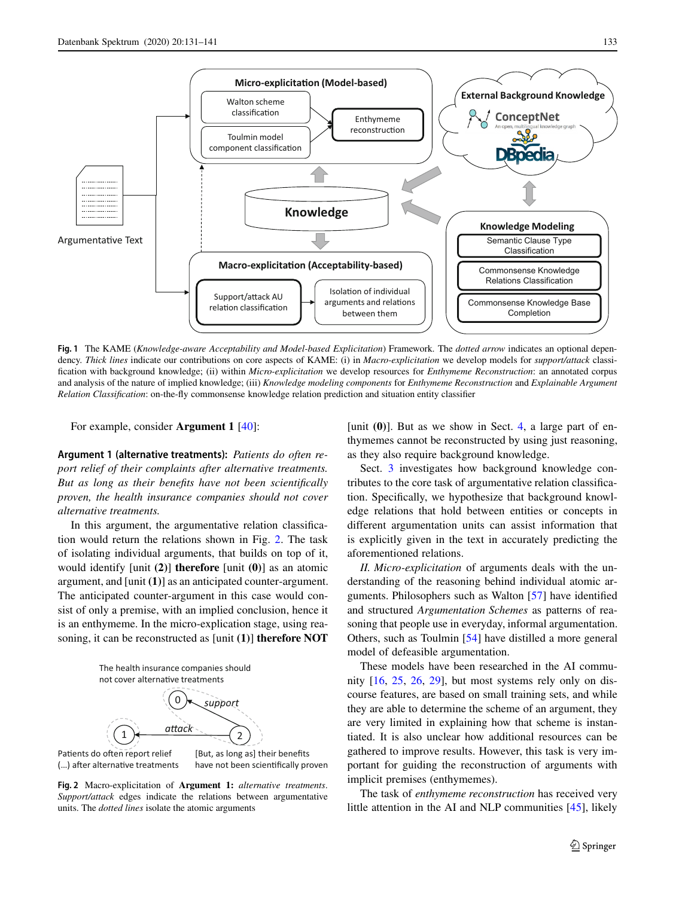

<span id="page-2-1"></span>**Fig. 1** The KAME (*Knowledge-aware Acceptability and Model-based Explicitation*) Framework. The *dotted arrow* indicates an optional dependency. *Thick lines* indicate our contributions on core aspects of KAME: (i) in *Macro-explicitation* we develop models for *support/attack* classification with background knowledge; (ii) within *Micro-explicitation* we develop resources for *Enthymeme Reconstruction*: an annotated corpus and analysis of the nature of implied knowledge; (iii) *Knowledge modeling components* for *Enthymeme Reconstruction* and *Explainable Argument Relation Classification*: on-the-fly commonsense knowledge relation prediction and situation entity classifier

For example, consider **Argument 1** [\[40\]](#page-10-14):

**Argument 1 (alternative treatments):** *Patients do often report relief of their complaints after alternative treatments. But as long as their benefits have not been scientifically proven, the health insurance companies should not cover alternative treatments.*

In this argument, the argumentative relation classification would return the relations shown in Fig. [2.](#page-2-0) The task of isolating individual arguments, that builds on top of it, would identify [unit **(2)**] **therefore** [unit **(0)**] as an atomic argument, and [unit **(1)**] as an anticipated counter-argument. The anticipated counter-argument in this case would consist of only a premise, with an implied conclusion, hence it is an enthymeme. In the micro-explication stage, using reasoning, it can be reconstructed as [unit **(1)**] **therefore NOT**

The health insurance companies should not cover alternative treatments



Patients do often report relief (...) after alternative treatments [But, as long as] their benefits have not been scientifically proven

<span id="page-2-0"></span>**Fig. 2** Macro-explicitation of **Argument 1:** *alternative treatments*. *Support/attack* edges indicate the relations between argumentative units. The *dotted lines* isolate the atomic arguments

[unit  $(0)$ ]. But as we show in Sect. [4,](#page-5-0) a large part of enthymemes cannot be reconstructed by using just reasoning, as they also require background knowledge.

Sect. [3](#page-2-0) investigates how background knowledge contributes to the core task of argumentative relation classification. Specifically, we hypothesize that background knowledge relations that hold between entities or concepts in different argumentation units can assist information that is explicitly given in the text in accurately predicting the aforementioned relations.

*II. Micro-explicitation* of arguments deals with the understanding of the reasoning behind individual atomic arguments. Philosophers such as Walton [\[57\]](#page-10-10) have identified and structured *Argumentation Schemes* as patterns of reasoning that people use in everyday, informal argumentation. Others, such as Toulmin [\[54\]](#page-10-15) have distilled a more general model of defeasible argumentation.

These models have been researched in the AI community  $[16, 25, 26, 29]$  $[16, 25, 26, 29]$  $[16, 25, 26, 29]$  $[16, 25, 26, 29]$  $[16, 25, 26, 29]$  $[16, 25, 26, 29]$  $[16, 25, 26, 29]$ , but most systems rely only on discourse features, are based on small training sets, and while they are able to determine the scheme of an argument, they are very limited in explaining how that scheme is instantiated. It is also unclear how additional resources can be gathered to improve results. However, this task is very important for guiding the reconstruction of arguments with implicit premises (enthymemes).

The task of *enthymeme reconstruction* has received very little attention in the AI and NLP communities [\[45\]](#page-10-20), likely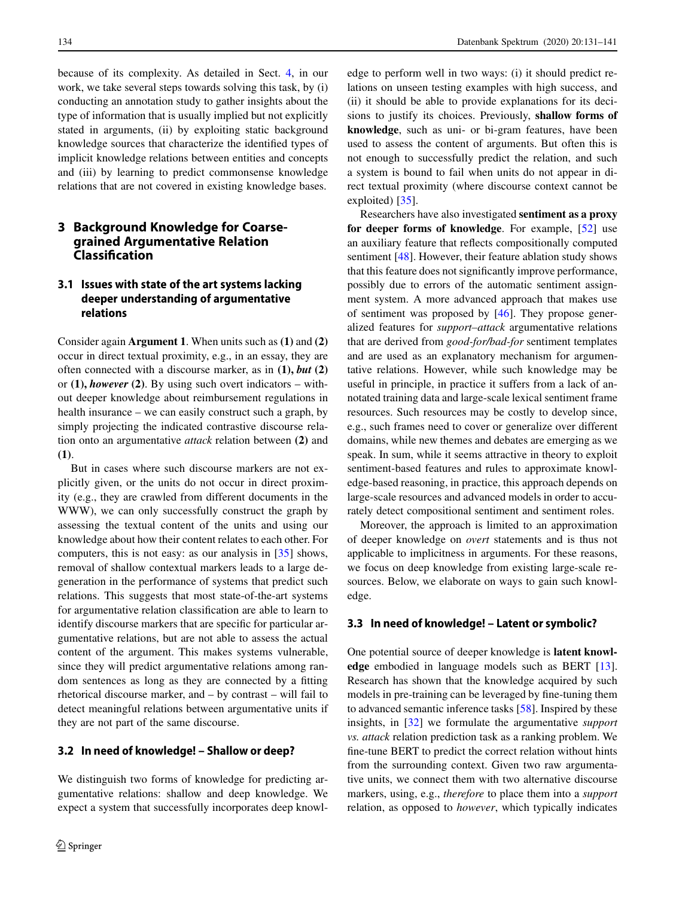because of its complexity. As detailed in Sect. [4,](#page-5-0) in our work, we take several steps towards solving this task, by (i) conducting an annotation study to gather insights about the type of information that is usually implied but not explicitly stated in arguments, (ii) by exploiting static background knowledge sources that characterize the identified types of implicit knowledge relations between entities and concepts and (iii) by learning to predict commonsense knowledge relations that are not covered in existing knowledge bases.

# **3 Background Knowledge for Coarsegrained Argumentative Relation Classifcation**

# **3.1 Issues with state of the art systems lacking deeper understanding of argumentative relations**

Consider again **Argument 1**. When units such as **(1)** and **(2)** occur in direct textual proximity, e.g., in an essay, they are often connected with a discourse marker, as in **(1),** *but* **(2)** or **(1),** *however* **(2)**. By using such overt indicators – without deeper knowledge about reimbursement regulations in health insurance – we can easily construct such a graph, by simply projecting the indicated contrastive discourse relation onto an argumentative *attack* relation between **(2)** and **(1)**.

But in cases where such discourse markers are not explicitly given, or the units do not occur in direct proximity (e.g., they are crawled from different documents in the WWW), we can only successfully construct the graph by assessing the textual content of the units and using our knowledge about how their content relates to each other. For computers, this is not easy: as our analysis in [\[35\]](#page-10-21) shows, removal of shallow contextual markers leads to a large degeneration in the performance of systems that predict such relations. This suggests that most state-of-the-art systems for argumentative relation classification are able to learn to identify discourse markers that are specific for particular argumentative relations, but are not able to assess the actual content of the argument. This makes systems vulnerable, since they will predict argumentative relations among random sentences as long as they are connected by a fitting rhetorical discourse marker, and – by contrast – will fail to detect meaningful relations between argumentative units if they are not part of the same discourse.

#### **3.2 In need of knowledge! – Shallow or deep?**

We distinguish two forms of knowledge for predicting argumentative relations: shallow and deep knowledge. We expect a system that successfully incorporates deep knowledge to perform well in two ways: (i) it should predict relations on unseen testing examples with high success, and (ii) it should be able to provide explanations for its decisions to justify its choices. Previously, **shallow forms of knowledge**, such as uni- or bi-gram features, have been used to assess the content of arguments. But often this is not enough to successfully predict the relation, and such a system is bound to fail when units do not appear in direct textual proximity (where discourse context cannot be exploited) [\[35\]](#page-10-21).

Researchers have also investigated **sentiment as a proxy for deeper forms of knowledge**. For example, [\[52\]](#page-10-22) use an auxiliary feature that reflects compositionally computed sentiment [\[48\]](#page-10-23). However, their feature ablation study shows that this feature does not significantly improve performance, possibly due to errors of the automatic sentiment assignment system. A more advanced approach that makes use of sentiment was proposed by [\[46\]](#page-10-24). They propose generalized features for *support–attack* argumentative relations that are derived from *good-for/bad-for* sentiment templates and are used as an explanatory mechanism for argumentative relations. However, while such knowledge may be useful in principle, in practice it suffers from a lack of annotated training data and large-scale lexical sentiment frame resources. Such resources may be costly to develop since, e.g., such frames need to cover or generalize over different domains, while new themes and debates are emerging as we speak. In sum, while it seems attractive in theory to exploit sentiment-based features and rules to approximate knowledge-based reasoning, in practice, this approach depends on large-scale resources and advanced models in order to accurately detect compositional sentiment and sentiment roles.

Moreover, the approach is limited to an approximation of deeper knowledge on *overt* statements and is thus not applicable to implicitness in arguments. For these reasons, we focus on deep knowledge from existing large-scale resources. Below, we elaborate on ways to gain such knowledge.

#### **3.3 In need of knowledge! – Latent or symbolic?**

One potential source of deeper knowledge is **latent knowledge** embodied in language models such as BERT [\[13\]](#page-9-2). Research has shown that the knowledge acquired by such models in pre-training can be leveraged by fine-tuning them to advanced semantic inference tasks [\[58\]](#page-10-25). Inspired by these insights, in [\[32\]](#page-10-26) we formulate the argumentative *support vs. attack* relation prediction task as a ranking problem. We fine-tune BERT to predict the correct relation without hints from the surrounding context. Given two raw argumentative units, we connect them with two alternative discourse markers, using, e.g., *therefore* to place them into a *support* relation, as opposed to *however*, which typically indicates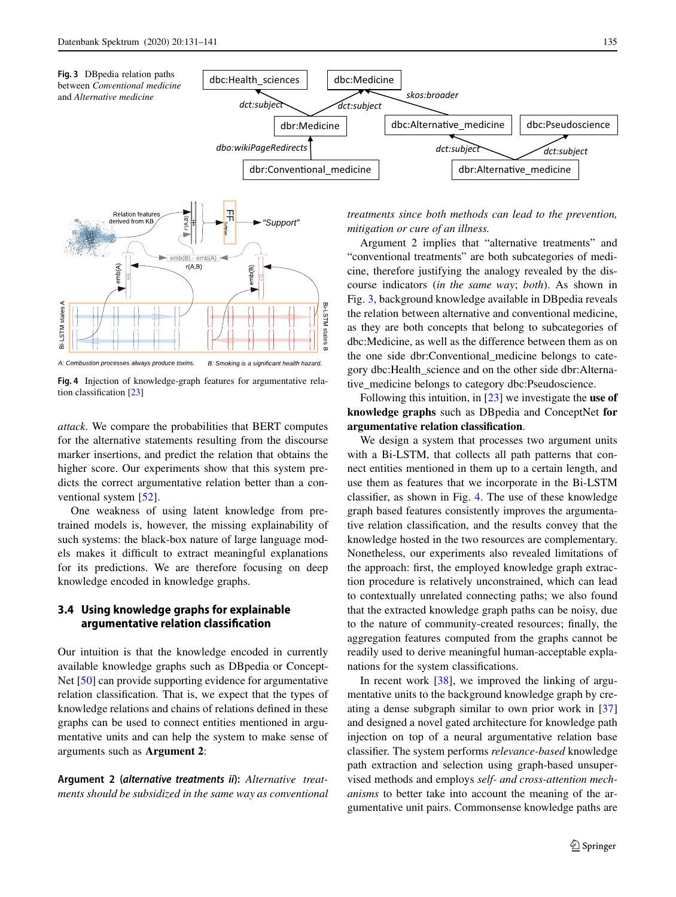<span id="page-4-0"></span>



<span id="page-4-1"></span>**Fig. 4** Injection of knowledge-graph features for argumentative relation classification [\[23\]](#page-10-27)

*attack*. We compare the probabilities that BERT computes for the alternative statements resulting from the discourse marker insertions, and predict the relation that obtains the higher score. Our experiments show that this system predicts the correct argumentative relation better than a conventional system [\[52\]](#page-10-22).

One weakness of using latent knowledge from pretrained models is, however, the missing explainability of such systems: the black-box nature of large language models makes it difficult to extract meaningful explanations for its predictions. We are therefore focusing on deep knowledge encoded in knowledge graphs.

## **3.4 Using knowledge graphs for explainable argumentative relation classification**

Our intuition is that the knowledge encoded in currently available knowledge graphs such as DBpedia or Concept-Net [\[50\]](#page-10-28) can provide supporting evidence for argumentative relation classification. That is, we expect that the types of knowledge relations and chains of relations defined in these graphs can be used to connect entities mentioned in argumentative units and can help the system to make sense of arguments such as **Argument 2**:

**Argument 2 (***alternative treatments ii***):** *Alternative treatments should be subsidized in the same way as conventional* *treatments since both methods can lead to the prevention, mitigation or cure of an illness.*

Argument 2 implies that "alternative treatments" and "conventional treatments" are both subcategories of medicine, therefore justifying the analogy revealed by the discourse indicators (*in the same way*; *both*). As shown in Fig. [3,](#page-4-0) background knowledge available in DBpedia reveals the relation between alternative and conventional medicine, as they are both concepts that belong to subcategories of dbc:Medicine, as well as the difference between them as on the one side dbr:Conventional\_medicine belongs to category dbc:Health\_science and on the other side dbr:Alternative\_medicine belongs to category dbc:Pseudoscience.

Following this intuition, in [\[23\]](#page-10-27) we investigate the **use of knowledge graphs** such as DBpedia and ConceptNet **for argumentative relation classification**.

We design a system that processes two argument units with a Bi-LSTM, that collects all path patterns that connect entities mentioned in them up to a certain length, and use them as features that we incorporate in the Bi-LSTM classifier, as shown in Fig. [4.](#page-4-1) The use of these knowledge graph based features consistently improves the argumentative relation classification, and the results convey that the knowledge hosted in the two resources are complementary. Nonetheless, our experiments also revealed limitations of the approach: first, the employed knowledge graph extraction procedure is relatively unconstrained, which can lead to contextually unrelated connecting paths; we also found that the extracted knowledge graph paths can be noisy, due to the nature of community-created resources; finally, the aggregation features computed from the graphs cannot be readily used to derive meaningful human-acceptable explanations for the system classifications.

In recent work [\[38\]](#page-10-29), we improved the linking of argumentative units to the background knowledge graph by creating a dense subgraph similar to own prior work in [\[37\]](#page-10-30) and designed a novel gated architecture for knowledge path injection on top of a neural argumentative relation base classifier. The system performs *relevance-based* knowledge path extraction and selection using graph-based unsupervised methods and employs *self- and cross-attention mechanisms* to better take into account the meaning of the argumentative unit pairs. Commonsense knowledge paths are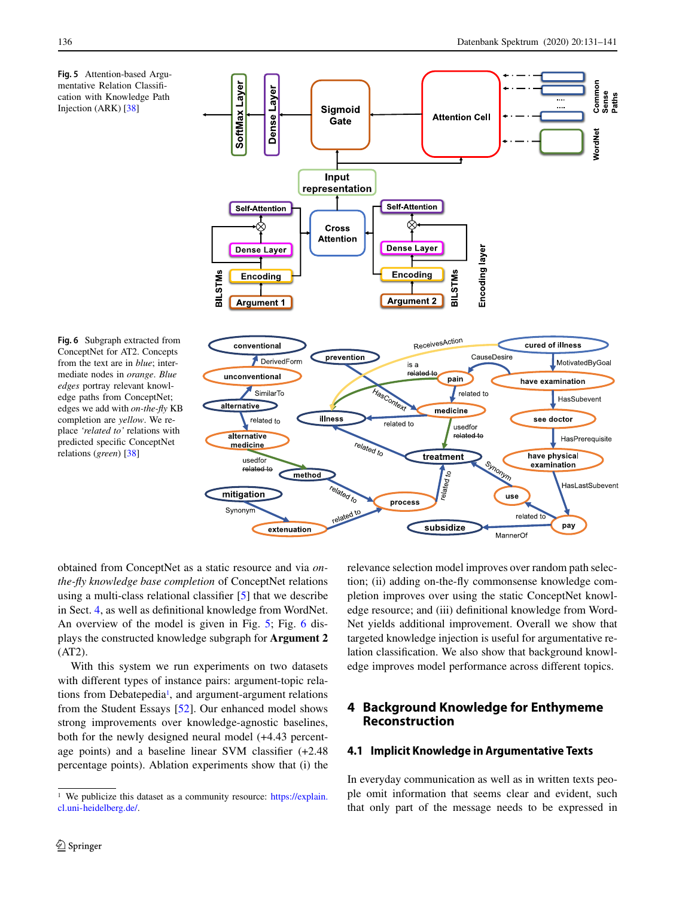<span id="page-5-1"></span>



<span id="page-5-2"></span>**Fig. 6** Subgraph extracted from ConceptNet for AT2. Concepts from the text are in *blue*; intermediate nodes in *orange*. *Blue edges* portray relevant knowledge paths from ConceptNet; edges we add with *on-the-fly* KB completion are *yellow*. We replace *'related to'* relations with predicted specific ConceptNet relations (*green*) [\[38\]](#page-10-29)

obtained from ConceptNet as a static resource and via *onthe-fly knowledge base completion* of ConceptNet relations using a multi-class relational classifier [\[5\]](#page-9-3) that we describe in Sect. [4,](#page-5-0) as well as definitional knowledge from WordNet. An overview of the model is given in Fig. [5;](#page-5-1) Fig. [6](#page-5-2) displays the constructed knowledge subgraph for **Argument 2**  $(AT2)$ .

With this system we run experiments on two datasets with different types of instance pairs: argument-topic relations from Debatepedia<sup>1</sup>, and argument-argument relations from the Student Essays [\[52\]](#page-10-22). Our enhanced model shows strong improvements over knowledge-agnostic baselines, both for the newly designed neural model (+4.43 percentage points) and a baseline linear SVM classifier (+2.48 percentage points). Ablation experiments show that (i) the relevance selection model improves over random path selection; (ii) adding on-the-fly commonsense knowledge completion improves over using the static ConceptNet knowledge resource; and (iii) definitional knowledge from Word-Net yields additional improvement. Overall we show that targeted knowledge injection is useful for argumentative relation classification. We also show that background knowledge improves model performance across different topics.

# **4 Background Knowledge for Enthymeme Reconstruction**

## **4.1 Implicit Knowledge in Argumentative Texts**

In everyday communication as well as in written texts people omit information that seems clear and evident, such that only part of the message needs to be expressed in

<span id="page-5-0"></span><sup>&</sup>lt;sup>1</sup> We publicize this dataset as a community resource: [https://explain.](https://explain.cl.uni-heidelberg.de/) [cl.uni-heidelberg.de/.](https://explain.cl.uni-heidelberg.de/)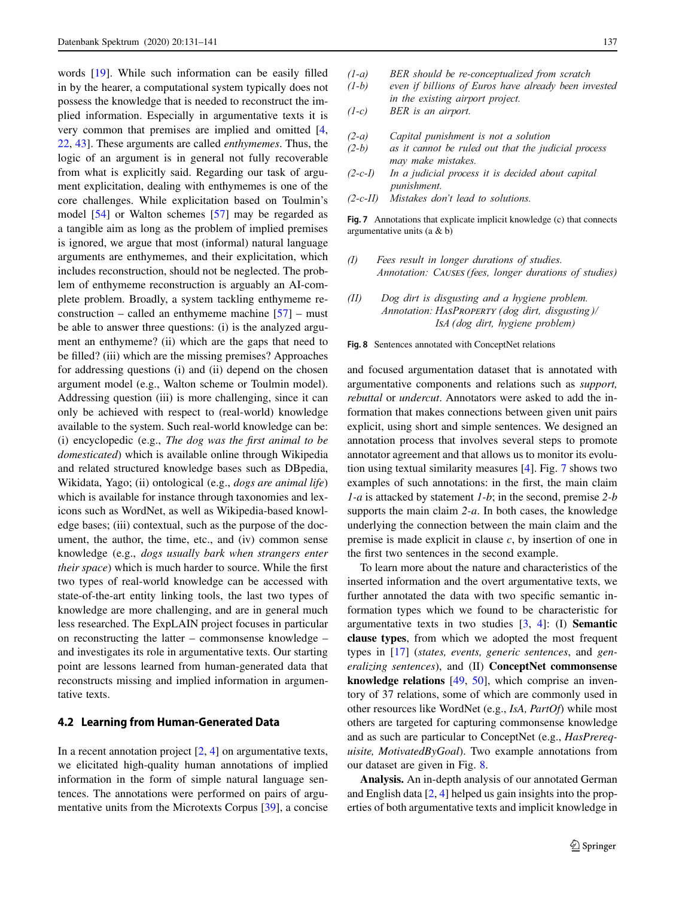words [\[19\]](#page-10-31). While such information can be easily filled in by the hearer, a computational system typically does not possess the knowledge that is needed to reconstruct the implied information. Especially in argumentative texts it is very common that premises are implied and omitted [\[4,](#page-9-4) [22,](#page-10-11) [43\]](#page-10-32). These arguments are called *enthymemes*. Thus, the logic of an argument is in general not fully recoverable from what is explicitly said. Regarding our task of argument explicitation, dealing with enthymemes is one of the core challenges. While explicitation based on Toulmin's model [\[54\]](#page-10-15) or Walton schemes [\[57\]](#page-10-10) may be regarded as a tangible aim as long as the problem of implied premises is ignored, we argue that most (informal) natural language arguments are enthymemes, and their explicitation, which includes reconstruction, should not be neglected. The problem of enthymeme reconstruction is arguably an AI-complete problem. Broadly, a system tackling enthymeme reconstruction – called an enthymeme machine  $[57]$  – must be able to answer three questions: (i) is the analyzed argument an enthymeme? (ii) which are the gaps that need to be filled? (iii) which are the missing premises? Approaches for addressing questions (i) and (ii) depend on the chosen argument model (e.g., Walton scheme or Toulmin model). Addressing question (iii) is more challenging, since it can only be achieved with respect to (real-world) knowledge available to the system. Such real-world knowledge can be: (i) encyclopedic (e.g., *The dog was the first animal to be domesticated*) which is available online through Wikipedia and related structured knowledge bases such as DBpedia, Wikidata, Yago; (ii) ontological (e.g., *dogs are animal life*) which is available for instance through taxonomies and lexicons such as WordNet, as well as Wikipedia-based knowledge bases; (iii) contextual, such as the purpose of the document, the author, the time, etc., and (iv) common sense knowledge (e.g., *dogs usually bark when strangers enter their space*) which is much harder to source. While the first two types of real-world knowledge can be accessed with state-of-the-art entity linking tools, the last two types of knowledge are more challenging, and are in general much less researched. The ExpLAIN project focuses in particular on reconstructing the latter – commonsense knowledge – and investigates its role in argumentative texts. Our starting point are lessons learned from human-generated data that reconstructs missing and implied information in argumentative texts.

#### **4.2 Learning from Human-Generated Data**

In a recent annotation project  $[2, 4]$  $[2, 4]$  $[2, 4]$  on argumentative texts, we elicitated high-quality human annotations of implied information in the form of simple natural language sentences. The annotations were performed on pairs of argumentative units from the Microtexts Corpus [\[39\]](#page-10-5), a concise

- *(1-a) BER should be re-conceptualized from scratch*
- *(1-b) even if billions of Euros have already been invested in the existing airport project.*
- *(1-c) BER is an airport.*
- *(2-a) Capital punishment is not a solution*
- *(2-b) as it cannot be ruled out that the judicial process may make mistakes.*
- *(2-c-I) In a judicial process it is decided about capital punishment.*
- <span id="page-6-0"></span>*(2-c-II) Mistakes don't lead to solutions.*

Fig. 7 Annotations that explicate implicit knowledge (c) that connects argumentative units (a & b)

- *(I) Fees result in longer durations of studies. Annotation: C- (fees, longer durations of studies)*
- *(II) Dog dirt is disgusting and a hygiene problem. Annotation: H-P (dog dirt, disgusting )/ IA (dog dirt, hygiene problem)*

<span id="page-6-1"></span>**Fig. 8** Sentences annotated with ConceptNet relations

and focused argumentation dataset that is annotated with argumentative components and relations such as *support, rebuttal* or *undercut*. Annotators were asked to add the information that makes connections between given unit pairs explicit, using short and simple sentences. We designed an annotation process that involves several steps to promote annotator agreement and that allows us to monitor its evolution using textual similarity measures [\[4\]](#page-9-4). Fig. [7](#page-6-0) shows two examples of such annotations: in the first, the main claim *1-a* is attacked by statement *1-b*; in the second, premise *2-b* supports the main claim *2-a*. In both cases, the knowledge underlying the connection between the main claim and the premise is made explicit in clause *c*, by insertion of one in the first two sentences in the second example.

To learn more about the nature and characteristics of the inserted information and the overt argumentative texts, we further annotated the data with two specific semantic information types which we found to be characteristic for argumentative texts in two studies [\[3,](#page-9-6) [4\]](#page-9-4): (I) **Semantic clause types**, from which we adopted the most frequent types in [\[17\]](#page-10-33) (*states, events, generic sentences*, and *generalizing sentences*), and (II) **ConceptNet commonsense knowledge relations** [\[49,](#page-10-34) [50\]](#page-10-28), which comprise an inventory of 37 relations, some of which are commonly used in other resources like WordNet (e.g., *IsA, PartOf*) while most others are targeted for capturing commonsense knowledge and as such are particular to ConceptNet (e.g., *HasPrerequisite, MotivatedByGoal*). Two example annotations from our dataset are given in Fig. [8.](#page-6-1)

**Analysis.** An in-depth analysis of our annotated German and English data [\[2,](#page-9-5) [4\]](#page-9-4) helped us gain insights into the properties of both argumentative texts and implicit knowledge in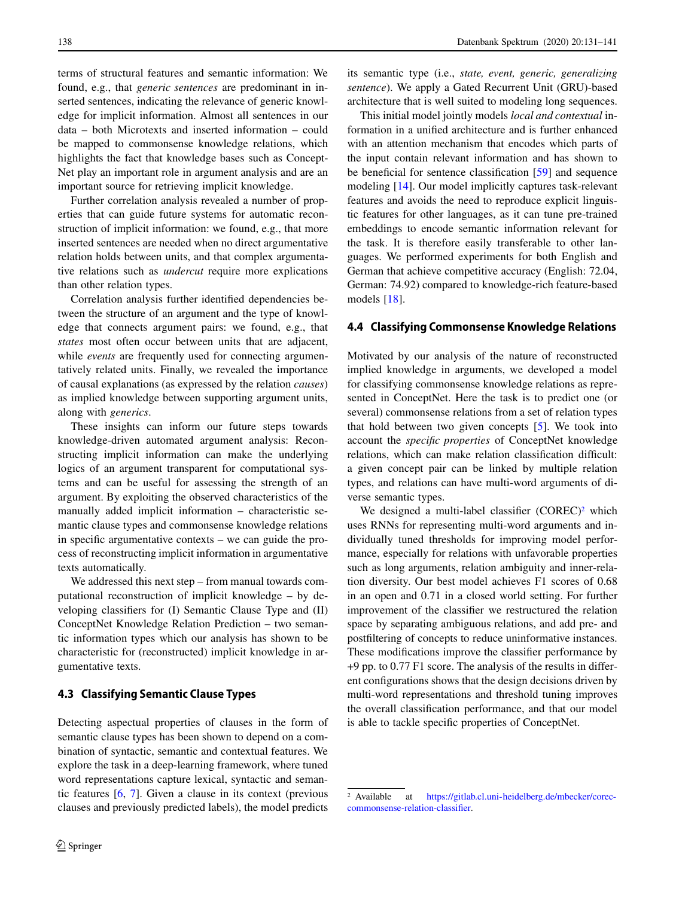terms of structural features and semantic information: We found, e.g., that *generic sentences* are predominant in inserted sentences, indicating the relevance of generic knowledge for implicit information. Almost all sentences in our data – both Microtexts and inserted information – could be mapped to commonsense knowledge relations, which highlights the fact that knowledge bases such as Concept-Net play an important role in argument analysis and are an important source for retrieving implicit knowledge.

Further correlation analysis revealed a number of properties that can guide future systems for automatic reconstruction of implicit information: we found, e.g., that more inserted sentences are needed when no direct argumentative relation holds between units, and that complex argumentative relations such as *undercut* require more explications than other relation types.

Correlation analysis further identified dependencies between the structure of an argument and the type of knowledge that connects argument pairs: we found, e.g., that *states* most often occur between units that are adjacent, while *events* are frequently used for connecting argumentatively related units. Finally, we revealed the importance of causal explanations (as expressed by the relation *causes*) as implied knowledge between supporting argument units, along with *generics*.

These insights can inform our future steps towards knowledge-driven automated argument analysis: Reconstructing implicit information can make the underlying logics of an argument transparent for computational systems and can be useful for assessing the strength of an argument. By exploiting the observed characteristics of the manually added implicit information – characteristic semantic clause types and commonsense knowledge relations in specific argumentative contexts – we can guide the process of reconstructing implicit information in argumentative texts automatically.

We addressed this next step – from manual towards computational reconstruction of implicit knowledge – by developing classifiers for (I) Semantic Clause Type and (II) ConceptNet Knowledge Relation Prediction – two semantic information types which our analysis has shown to be characteristic for (reconstructed) implicit knowledge in argumentative texts.

#### **4.3 Classifying Semantic Clause Types**

Detecting aspectual properties of clauses in the form of semantic clause types has been shown to depend on a combination of syntactic, semantic and contextual features. We explore the task in a deep-learning framework, where tuned word representations capture lexical, syntactic and semantic features [\[6,](#page-9-7) [7\]](#page-9-8). Given a clause in its context (previous clauses and previously predicted labels), the model predicts its semantic type (i.e., *state, event, generic, generalizing sentence*). We apply a Gated Recurrent Unit (GRU)-based architecture that is well suited to modeling long sequences.

This initial model jointly models *local and contextual* information in a unified architecture and is further enhanced with an attention mechanism that encodes which parts of the input contain relevant information and has shown to be beneficial for sentence classification [\[59\]](#page-10-35) and sequence modeling [\[14\]](#page-9-9). Our model implicitly captures task-relevant features and avoids the need to reproduce explicit linguistic features for other languages, as it can tune pre-trained embeddings to encode semantic information relevant for the task. It is therefore easily transferable to other languages. We performed experiments for both English and German that achieve competitive accuracy (English: 72.04, German: 74.92) compared to knowledge-rich feature-based models [\[18\]](#page-10-36).

## **4.4 Classifying Commonsense Knowledge Relations**

Motivated by our analysis of the nature of reconstructed implied knowledge in arguments, we developed a model for classifying commonsense knowledge relations as represented in ConceptNet. Here the task is to predict one (or several) commonsense relations from a set of relation types that hold between two given concepts [\[5\]](#page-9-3). We took into account the *specific properties* of ConceptNet knowledge relations, which can make relation classification difficult: a given concept pair can be linked by multiple relation types, and relations can have multi-word arguments of diverse semantic types.

We designed a multi-label classifier  $(COREC)^2$  which uses RNNs for representing multi-word arguments and individually tuned thresholds for improving model performance, especially for relations with unfavorable properties such as long arguments, relation ambiguity and inner-relation diversity. Our best model achieves F1 scores of 0.68 in an open and 0.71 in a closed world setting. For further improvement of the classifier we restructured the relation space by separating ambiguous relations, and add pre- and postfiltering of concepts to reduce uninformative instances. These modifications improve the classifier performance by +9 pp. to 0.77 F1 score. The analysis of the results in different configurations shows that the design decisions driven by multi-word representations and threshold tuning improves the overall classification performance, and that our model is able to tackle specific properties of ConceptNet.

<span id="page-7-0"></span><sup>2</sup> Available at [https://gitlab.cl.uni-heidelberg.de/mbecker/corec](https://gitlab.cl.uni-heidelberg.de/mbecker/corec-commonsense-relation-classifier)[commonsense-relation-classifier.](https://gitlab.cl.uni-heidelberg.de/mbecker/corec-commonsense-relation-classifier)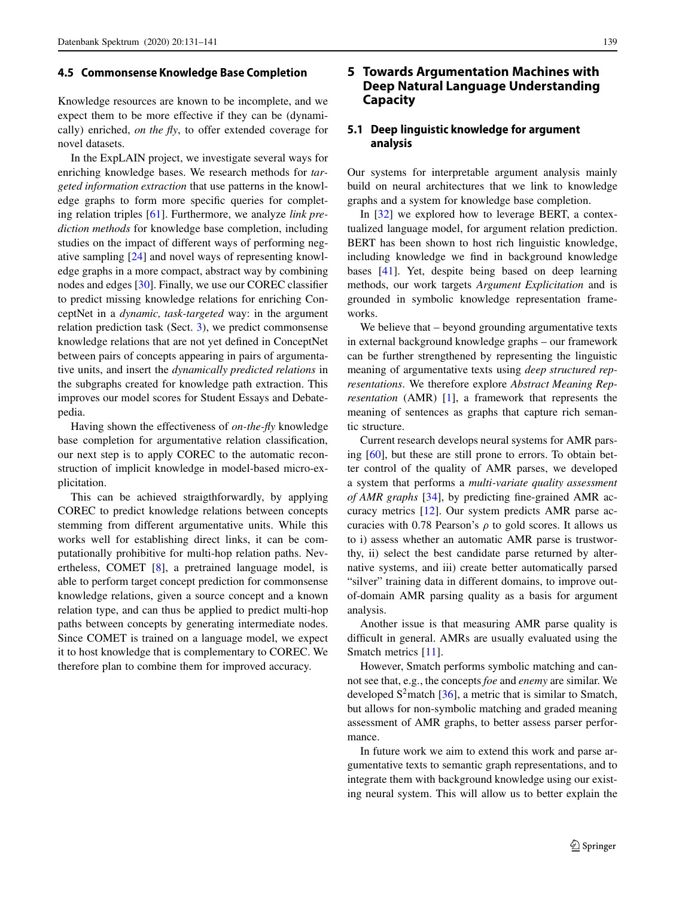#### **4.5 Commonsense Knowledge Base Completion**

Knowledge resources are known to be incomplete, and we expect them to be more effective if they can be (dynamically) enriched, *on the fly*, to offer extended coverage for novel datasets.

In the ExpLAIN project, we investigate several ways for enriching knowledge bases. We research methods for *targeted information extraction* that use patterns in the knowledge graphs to form more specific queries for completing relation triples [\[61\]](#page-10-37). Furthermore, we analyze *link prediction methods* for knowledge base completion, including studies on the impact of different ways of performing negative sampling [\[24\]](#page-10-38) and novel ways of representing knowledge graphs in a more compact, abstract way by combining nodes and edges [\[30\]](#page-10-39). Finally, we use our COREC classifier to predict missing knowledge relations for enriching ConceptNet in a *dynamic, task-targeted* way: in the argument relation prediction task (Sect. [3\)](#page-2-0), we predict commonsense knowledge relations that are not yet defined in ConceptNet between pairs of concepts appearing in pairs of argumentative units, and insert the *dynamically predicted relations* in the subgraphs created for knowledge path extraction. This improves our model scores for Student Essays and Debatepedia.

Having shown the effectiveness of *on-the-fly* knowledge base completion for argumentative relation classification, our next step is to apply COREC to the automatic reconstruction of implicit knowledge in model-based micro-explicitation.

This can be achieved straigthforwardly, by applying COREC to predict knowledge relations between concepts stemming from different argumentative units. While this works well for establishing direct links, it can be computationally prohibitive for multi-hop relation paths. Nevertheless, COMET [\[8\]](#page-9-10), a pretrained language model, is able to perform target concept prediction for commonsense knowledge relations, given a source concept and a known relation type, and can thus be applied to predict multi-hop paths between concepts by generating intermediate nodes. Since COMET is trained on a language model, we expect it to host knowledge that is complementary to COREC. We therefore plan to combine them for improved accuracy.

# **5 Towards Argumentation Machines with Deep Natural Language Understanding Capacity**

## **5.1 Deep linguistic knowledge for argument analysis**

Our systems for interpretable argument analysis mainly build on neural architectures that we link to knowledge graphs and a system for knowledge base completion.

In [\[32\]](#page-10-26) we explored how to leverage BERT, a contextualized language model, for argument relation prediction. BERT has been shown to host rich linguistic knowledge, including knowledge we find in background knowledge bases [\[41\]](#page-10-40). Yet, despite being based on deep learning methods, our work targets *Argument Explicitation* and is grounded in symbolic knowledge representation frameworks.

We believe that – beyond grounding argumentative texts in external background knowledge graphs – our framework can be further strengthened by representing the linguistic meaning of argumentative texts using *deep structured representations*. We therefore explore *Abstract Meaning Representation* (AMR) [\[1\]](#page-9-11), a framework that represents the meaning of sentences as graphs that capture rich semantic structure.

Current research develops neural systems for AMR parsing [\[60\]](#page-10-41), but these are still prone to errors. To obtain better control of the quality of AMR parses, we developed a system that performs a *multi-variate quality assessment of AMR graphs* [\[34\]](#page-10-42), by predicting fine-grained AMR accuracy metrics [\[12\]](#page-9-12). Our system predicts AMR parse accuracies with 0.78 Pearson's  $\rho$  to gold scores. It allows us to i) assess whether an automatic AMR parse is trustworthy, ii) select the best candidate parse returned by alternative systems, and iii) create better automatically parsed "silver" training data in different domains, to improve outof-domain AMR parsing quality as a basis for argument analysis.

Another issue is that measuring AMR parse quality is difficult in general. AMRs are usually evaluated using the Smatch metrics [\[11\]](#page-9-13).

However, Smatch performs symbolic matching and cannot see that, e.g., the concepts *foe* and *enemy* are similar. We developed  $S^2$ match [\[36\]](#page-10-43), a metric that is similar to Smatch, but allows for non-symbolic matching and graded meaning assessment of AMR graphs, to better assess parser performance.

In future work we aim to extend this work and parse argumentative texts to semantic graph representations, and to integrate them with background knowledge using our existing neural system. This will allow us to better explain the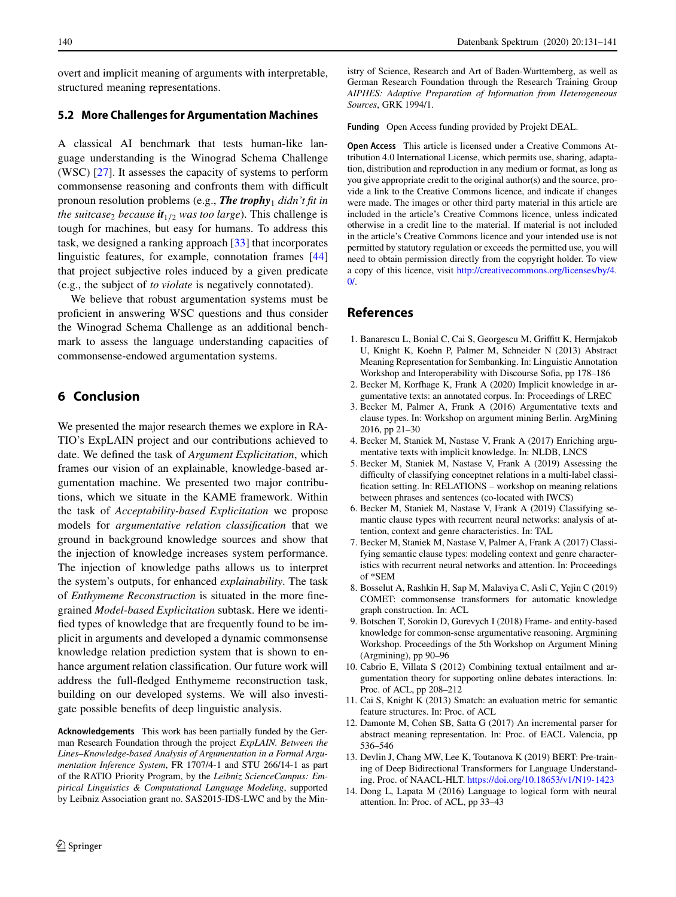overt and implicit meaning of arguments with interpretable, structured meaning representations.

#### **5.2 More Challenges for Argumentation Machines**

A classical AI benchmark that tests human-like language understanding is the Winograd Schema Challenge (WSC) [\[27\]](#page-10-44). It assesses the capacity of systems to perform commonsense reasoning and confronts them with difficult pronoun resolution problems (e.g., **The trophy**<sub>1</sub> didn't fit in *the suitcase*<sub>2</sub> *because*  $it_{1/2}$  *was too large*). This challenge is tough for machines, but easy for humans. To address this task, we designed a ranking approach [\[33\]](#page-10-45) that incorporates linguistic features, for example, connotation frames [\[44\]](#page-10-46) that project subjective roles induced by a given predicate (e.g., the subject of *to violate* is negatively connotated).

We believe that robust argumentation systems must be proficient in answering WSC questions and thus consider the Winograd Schema Challenge as an additional benchmark to assess the language understanding capacities of commonsense-endowed argumentation systems.

## **6 Conclusion**

We presented the major research themes we explore in RA-TIO's ExpLAIN project and our contributions achieved to date. We defined the task of *Argument Explicitation*, which frames our vision of an explainable, knowledge-based argumentation machine. We presented two major contributions, which we situate in the KAME framework. Within the task of *Acceptability-based Explicitation* we propose models for *argumentative relation classification* that we ground in background knowledge sources and show that the injection of knowledge increases system performance. The injection of knowledge paths allows us to interpret the system's outputs, for enhanced *explainability*. The task of *Enthymeme Reconstruction* is situated in the more finegrained *Model-based Explicitation* subtask. Here we identified types of knowledge that are frequently found to be implicit in arguments and developed a dynamic commonsense knowledge relation prediction system that is shown to enhance argument relation classification. Our future work will address the full-fledged Enthymeme reconstruction task, building on our developed systems. We will also investigate possible benefits of deep linguistic analysis.

**Acknowledgements** This work has been partially funded by the German Research Foundation through the project *ExpLAIN. Between the Lines–Knowledge-based Analysis of Argumentation in a Formal Argumentation Inference System*, FR 1707/4-1 and STU 266/14-1 as part of the RATIO Priority Program, by the *Leibniz ScienceCampus: Empirical Linguistics & Computational Language Modeling*, supported by Leibniz Association grant no. SAS2015-IDS-LWC and by the Ministry of Science, Research and Art of Baden-Wurttemberg, as well as German Research Foundation through the Research Training Group *AIPHES: Adaptive Preparation of Information from Heterogeneous Sources*, GRK 1994/1.

**Funding** Open Access funding provided by Projekt DEAL.

**Open Access** This article is licensed under a Creative Commons Attribution 4.0 International License, which permits use, sharing, adaptation, distribution and reproduction in any medium or format, as long as you give appropriate credit to the original author(s) and the source, provide a link to the Creative Commons licence, and indicate if changes were made. The images or other third party material in this article are included in the article's Creative Commons licence, unless indicated otherwise in a credit line to the material. If material is not included in the article's Creative Commons licence and your intended use is not permitted by statutory regulation or exceeds the permitted use, you will need to obtain permission directly from the copyright holder. To view a copy of this licence, visit [http://creativecommons.org/licenses/by/4.](http://creativecommons.org/licenses/by/4.0/)  $\Omega$ 

## <span id="page-9-11"></span>**References**

- 1. Banarescu L, Bonial C, Cai S, Georgescu M, Griffitt K, Hermjakob U, Knight K, Koehn P, Palmer M, Schneider N (2013) Abstract Meaning Representation for Sembanking. In: Linguistic Annotation Workshop and Interoperability with Discourse Sofia, pp 178–186
- <span id="page-9-6"></span><span id="page-9-5"></span>2. Becker M, Korfhage K, Frank A (2020) Implicit knowledge in argumentative texts: an annotated corpus. In: Proceedings of LREC
- 3. Becker M, Palmer A, Frank A (2016) Argumentative texts and clause types. In: Workshop on argument mining Berlin. ArgMining 2016, pp 21–30
- <span id="page-9-4"></span><span id="page-9-3"></span>4. Becker M, Staniek M, Nastase V, Frank A (2017) Enriching argumentative texts with implicit knowledge. In: NLDB, LNCS
- 5. Becker M, Staniek M, Nastase V, Frank A (2019) Assessing the difficulty of classifying conceptnet relations in a multi-label classification setting. In: RELATIONS – workshop on meaning relations between phrases and sentences (co-located with IWCS)
- <span id="page-9-7"></span>6. Becker M, Staniek M, Nastase V, Frank A (2019) Classifying semantic clause types with recurrent neural networks: analysis of attention, context and genre characteristics. In: TAL
- <span id="page-9-8"></span>7. Becker M, Staniek M, Nastase V, Palmer A, Frank A (2017) Classifying semantic clause types: modeling context and genre characteristics with recurrent neural networks and attention. In: Proceedings of \*SEM
- <span id="page-9-10"></span>8. Bosselut A, Rashkin H, Sap M, Malaviya C, Asli C, Yejin C (2019) COMET: commonsense transformers for automatic knowledge graph construction. In: ACL
- <span id="page-9-1"></span>9. Botschen T, Sorokin D, Gurevych I (2018) Frame- and entity-based knowledge for common-sense argumentative reasoning. Argmining Workshop. Proceedings of the 5th Workshop on Argument Mining (Argmining), pp 90–96
- <span id="page-9-0"></span>10. Cabrio E, Villata S (2012) Combining textual entailment and argumentation theory for supporting online debates interactions. In: Proc. of ACL, pp 208–212
- <span id="page-9-13"></span><span id="page-9-12"></span>11. Cai S, Knight K (2013) Smatch: an evaluation metric for semantic feature structures. In: Proc. of ACL
- 12. Damonte M, Cohen SB, Satta G (2017) An incremental parser for abstract meaning representation. In: Proc. of EACL Valencia, pp 536–546
- <span id="page-9-2"></span>13. Devlin J, Chang MW, Lee K, Toutanova K (2019) BERT: Pre-training of Deep Bidirectional Transformers for Language Understanding. Proc. of NAACL-HLT. <https://doi.org/10.18653/v1/N19-1423>
- <span id="page-9-9"></span>14. Dong L, Lapata M (2016) Language to logical form with neural attention. In: Proc. of ACL, pp 33–43